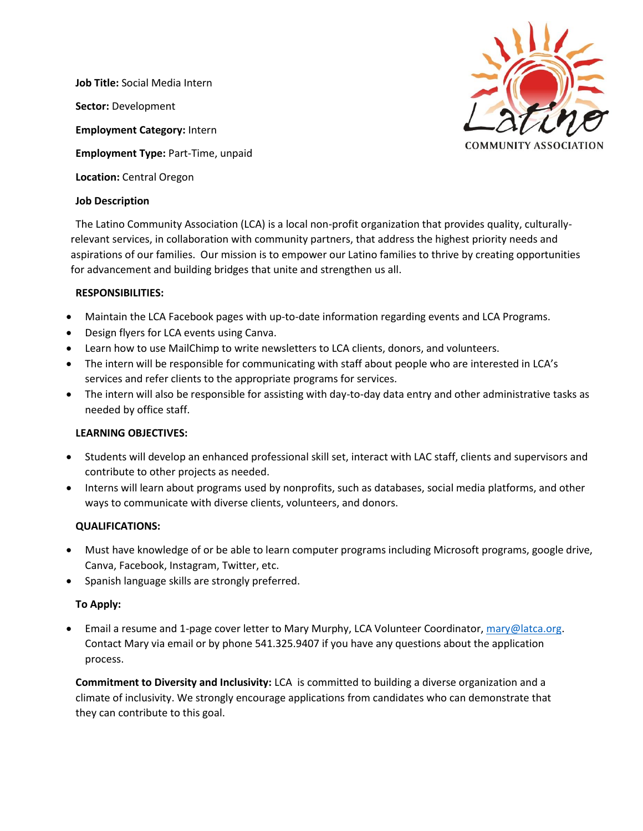**Job Title:** Social Media Intern **Sector:** Development **Employment Category:** Intern **Employment Type:** Part-Time, unpaid **Location:** Central Oregon

# **Job Description**

The Latino Community Association (LCA) is a local non-profit organization that provides quality, culturallyrelevant services, in collaboration with community partners, that address the highest priority needs and aspirations of our families. Our mission is to empower our Latino families to thrive by creating opportunities for advancement and building bridges that unite and strengthen us all.

# **RESPONSIBILITIES:**

- Maintain the LCA Facebook pages with up-to-date information regarding events and LCA Programs.
- Design flyers for LCA events using Canva.
- Learn how to use MailChimp to write newsletters to LCA clients, donors, and volunteers.
- The intern will be responsible for communicating with staff about people who are interested in LCA's services and refer clients to the appropriate programs for services.
- The intern will also be responsible for assisting with day-to-day data entry and other administrative tasks as needed by office staff.

### **LEARNING OBJECTIVES:**

- Students will develop an enhanced professional skill set, interact with LAC staff, clients and supervisors and contribute to other projects as needed.
- Interns will learn about programs used by nonprofits, such as databases, social media platforms, and other ways to communicate with diverse clients, volunteers, and donors.

### **QUALIFICATIONS:**

- Must have knowledge of or be able to learn computer programs including Microsoft programs, google drive, Canva, Facebook, Instagram, Twitter, etc.
- Spanish language skills are strongly preferred.

# **To Apply:**

• Email a resume and 1-page cover letter to Mary Murphy, LCA Volunteer Coordinator, [mary@latca.org.](mailto:mary@latca.org) Contact Mary via email or by phone 541.325.9407 if you have any questions about the application process.

**Commitment to Diversity and Inclusivity:** LCA is committed to building a diverse organization and a climate of inclusivity. We strongly encourage applications from candidates who can demonstrate that they can contribute to this goal.